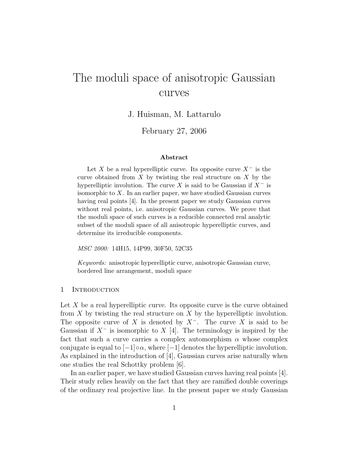# The moduli space of anisotropic Gaussian curves

J. Huisman, M. Lattarulo

February 27, 2006

#### Abstract

Let X be a real hyperelliptic curve. Its opposite curve  $X^-$  is the curve obtained from  $X$  by twisting the real structure on  $X$  by the hyperelliptic involution. The curve X is said to be Gaussian if  $X^-$  is isomorphic to  $X$ . In an earlier paper, we have studied Gaussian curves having real points [4]. In the present paper we study Gaussian curves without real points, i.e. anisotropic Gaussian curves. We prove that the moduli space of such curves is a reducible connected real analytic subset of the moduli space of all anisotropic hyperelliptic curves, and determine its irreducible components.

MSC 2000: 14H15, 14P99, 30F50, 52C35

Keywords: anisotropic hyperelliptic curve, anisotropic Gaussian curve, bordered line arrangement, moduli space

## 1 INTRODUCTION

Let  $X$  be a real hyperelliptic curve. Its opposite curve is the curve obtained from  $X$  by twisting the real structure on  $X$  by the hyperelliptic involution. The opposite curve of X is denoted by  $X^-$ . The curve X is said to be Gaussian if  $X^-$  is isomorphic to  $X$  [4]. The terminology is inspired by the fact that such a curve carries a complex automorphism  $\alpha$  whose complex conjugate is equal to  $[-1] \circ \alpha$ , where  $[-1]$  denotes the hyperelliptic involution. As explained in the introduction of [4], Gaussian curves arise naturally when one studies the real Schottky problem [6].

In an earlier paper, we have studied Gaussian curves having real points [4]. Their study relies heavily on the fact that they are ramified double coverings of the ordinary real projective line. In the present paper we study Gaussian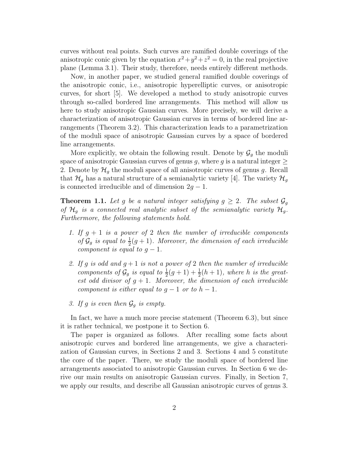curves without real points. Such curves are ramified double coverings of the anisotropic conic given by the equation  $x^2 + y^2 + z^2 = 0$ , in the real projective plane (Lemma 3.1). Their study, therefore, needs entirely different methods.

Now, in another paper, we studied general ramified double coverings of the anisotropic conic, i.e., anisotropic hyperelliptic curves, or anisotropic curves, for short [5]. We developed a method to study anisotropic curves through so-called bordered line arrangements. This method will allow us here to study anisotropic Gaussian curves. More precisely, we will derive a characterization of anisotropic Gaussian curves in terms of bordered line arrangements (Theorem 3.2). This characterization leads to a parametrization of the moduli space of anisotropic Gaussian curves by a space of bordered line arrangements.

More explicitly, we obtain the following result. Denote by  $\mathcal{G}_g$  the moduli space of anisotropic Gaussian curves of genus g, where g is a natural integer  $\geq$ 2. Denote by  $\mathcal{H}_g$  the moduli space of all anisotropic curves of genus g. Recall that  $\mathcal{H}_g$  has a natural structure of a semianalytic variety [4]. The variety  $\mathcal{H}_g$ is connected irreducible and of dimension  $2g - 1$ .

**Theorem 1.1.** Let g be a natural integer satisfying  $g \geq 2$ . The subset  $\mathcal{G}_g$ of  $\mathcal{H}_q$  is a connected real analytic subset of the semianalytic variety  $\mathcal{H}_g$ . Furthermore, the following statements hold.

- 1. If  $g + 1$  is a power of 2 then the number of irreducible components of  $\mathcal{G}_g$  is equal to  $\frac{1}{2}(g+1)$ . Moreover, the dimension of each irreducible component is equal to  $q-1$ .
- 2. If g is odd and  $g + 1$  is not a power of 2 then the number of irreducible components of  $\mathcal{G}_g$  is equal to  $\frac{1}{2}(g+1)+\frac{1}{2}$  $\frac{1}{2}(h+1)$ , where h is the greatest odd divisor of  $g + 1$ . Moreover, the dimension of each irreducible component is either equal to  $q-1$  or to  $h-1$ .
- 3. If g is even then  $\mathcal{G}_g$  is empty.

In fact, we have a much more precise statement (Theorem 6.3), but since it is rather technical, we postpone it to Section 6.

The paper is organized as follows. After recalling some facts about anisotropic curves and bordered line arrangements, we give a characterization of Gaussian curves, in Sections 2 and 3. Sections 4 and 5 constitute the core of the paper. There, we study the moduli space of bordered line arrangements associated to anisotropic Gaussian curves. In Section 6 we derive our main results on anisotropic Gaussian curves. Finally, in Section 7, we apply our results, and describe all Gaussian anisotropic curves of genus 3.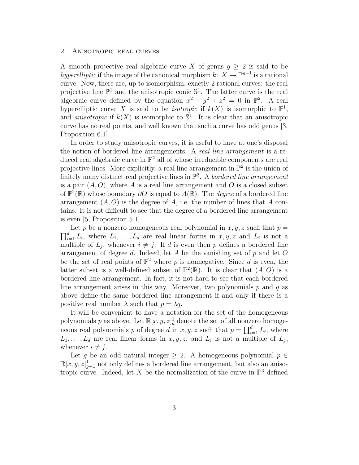## 2 Anisotropic real curves

A smooth projective real algebraic curve X of genus  $q > 2$  is said to be hyperelliptic if the image of the canonical morphism  $k: X \to \mathbb{P}^{g-1}$  is a rational curve. Now, there are, up to isomorphism, exactly 2 rational curves: the real projective line  $\mathbb{P}^1$  and the anisotropic conic  $\mathbb{S}^1$ . The latter curve is the real algebraic curve defined by the equation  $x^2 + y^2 + z^2 = 0$  in  $\mathbb{P}^2$ . A real hyperelliptic curve X is said to be *isotropic* if  $k(X)$  is isomorphic to  $\mathbb{P}^1$ , and anisotropic if  $k(X)$  is isomorphic to  $\mathbb{S}^1$ . It is clear that an anisotropic curve has no real points, and well known that such a curve has odd genus [3, Proposition 6.1].

In order to study anisotropic curves, it is useful to have at one's disposal the notion of bordered line arrangements. A real line arrangement is a reduced real algebraic curve in  $\mathbb{P}^2$  all of whose irreducible components are real projective lines. More explicitly, a real line arrangement in  $\mathbb{P}^2$  is the union of finitely many distinct real projective lines in  $\mathbb{P}^2$ . A bordered line arrangement is a pair  $(A, O)$ , where A is a real line arrangement and O is a closed subset of  $\mathbb{P}^2(\mathbb{R})$  whose boundary  $\partial O$  is equal to  $A(\mathbb{R})$ . The *degree* of a bordered line arrangement  $(A, O)$  is the degree of A, i.e. the number of lines that A contains. It is not difficult to see that the degree of a bordered line arrangement is even [5, Proposition 5.1].

 $\prod_{i=1}^d L_i$ , where  $L_1, \ldots, L_d$  are real linear forms in  $x, y, z$  and  $L_i$  is not a Let p be a nonzero homogeneous real polynomial in  $x, y, z$  such that  $p =$ multiple of  $L_j$ , whenever  $i \neq j$ . If d is even then p defines a bordered line arrangement of degree d. Indeed, let A be the vanishing set of  $p$  and let  $O$ be the set of real points of  $\mathbb{P}^2$  where p is nonnegative. Since d is even, the latter subset is a well-defined subset of  $\mathbb{P}^2(\mathbb{R})$ . It is clear that  $(A, O)$  is a bordered line arrangement. In fact, it is not hard to see that each bordered line arrangement arises in this way. Moreover, two polynomials  $p$  and  $q$  as above define the same bordered line arrangement if and only if there is a positive real number  $\lambda$  such that  $p = \lambda q$ .

It will be convenient to have a notation for the set of the homogeneous polynomials p as above. Let  $\mathbb{R}[x, y, z]_d^1$  denote the set of all nonzero homogeneous real polynomials p of degree d in  $x, y, z$  such that  $p = \prod_{i=1}^{d} L_i$ , where  $L_1, \ldots, L_d$  are real linear forms in  $x, y, z$ , and  $L_i$  is not a multiple of  $L_j$ , whenever  $i \neq j$ .

Let g be an odd natural integer  $\geq$  2. A homogeneous polynomial  $p \in$  $\mathbb{R}[x, y, z]_{g+1}^1$  not only defines a bordered line arrangement, but also an anisotropic curve. Indeed, let X be the normalization of the curve in  $\mathbb{P}^3$  defined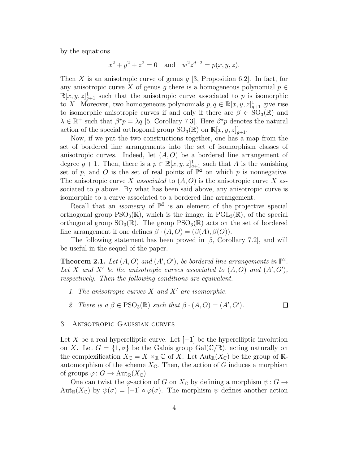by the equations

$$
x^2 + y^2 + z^2 = 0
$$
 and  $w^2 z^{d-2} = p(x, y, z)$ .

Then X is an anisotropic curve of genus  $g$  [3, Proposition 6.2]. In fact, for any anisotropic curve X of genus q there is a homogeneous polynomial  $p \in$  $\mathbb{R}[x, y, z]_{g+1}^1$  such that the anisotropic curve associated to p is isomorphic to X. Moreover, two homogeneous polynomials  $p, q \in \mathbb{R}[x, y, z]_{g+1}^1$  give rise to isomorphic anisotropic curves if and only if there are  $\beta \in SO_3(\mathbb{R})$  and  $\lambda \in \mathbb{R}^+$  such that  $\beta^* p = \lambda q$  [5, Corollary 7.3]. Here  $\beta^* p$  denotes the natural action of the special orthogonal group  $\text{SO}_3(\mathbb{R})$  on  $\mathbb{R}[x, y, z]_{g+1}^1$ .

Now, if we put the two constructions together, one has a map from the set of bordered line arrangements into the set of isomorphism classes of anisotropic curves. Indeed, let  $(A, O)$  be a bordered line arrangement of degree  $g + 1$ . Then, there is a  $p \in \mathbb{R}[x, y, z]_{g+1}^1$  such that A is the vanishing set of p, and O is the set of real points of  $\mathbb{P}^2$  on which p is nonnegative. The anisotropic curve X associated to  $(A, O)$  is the anisotropic curve X associated to  $p$  above. By what has been said above, any anisotropic curve is isomorphic to a curve associated to a bordered line arrangement.

Recall that an *isometry* of  $\mathbb{P}^2$  is an element of the projective special orthogonal group  $PSO_3(\mathbb{R})$ , which is the image, in  $PGL_3(\mathbb{R})$ , of the special orthogonal group  $SO_3(\mathbb{R})$ . The group  $PSO_3(\mathbb{R})$  acts on the set of bordered line arrangement if one defines  $\beta \cdot (A, O) = (\beta(A), \beta(O)).$ 

The following statement has been proved in [5, Corollary 7.2], and will be useful in the sequel of the paper.

**Theorem 2.1.** Let  $(A, O)$  and  $(A', O')$ , be bordered line arrangements in  $\mathbb{P}^2$ . Let X and X' be the anisotropic curves associated to  $(A, O)$  and  $(A', O')$ , respectively. Then the following conditions are equivalent.

- 1. The anisotropic curves  $X$  and  $X'$  are isomorphic.
- 2. There is  $a \beta \in \text{PSO}_3(\mathbb{R})$  such that  $\beta \cdot (A, O) = (A', O').$

## □

## 3 Anisotropic Gaussian curves

Let X be a real hyperelliptic curve. Let  $[-1]$  be the hyperelliptic involution on X. Let  $G = \{1, \sigma\}$  be the Galois group Gal( $\mathbb{C}/\mathbb{R}$ ), acting naturally on the complexification  $X_{\mathbb{C}} = X \times_{\mathbb{R}} \mathbb{C}$  of X. Let  $\mathrm{Aut}_{\mathbb{R}}(X_{\mathbb{C}})$  be the group of  $\mathbb{R}$ automorphism of the scheme  $X_{\mathbb{C}}$ . Then, the action of G induces a morphism of groups  $\varphi: G \to \text{Aut}_{\mathbb{R}}(X_{\mathbb{C}}).$ 

One can twist the  $\varphi$ -action of G on  $X_{\mathbb{C}}$  by defining a morphism  $\psi: G \to$  $\text{Aut}_{\mathbb{R}}(X_{\mathbb{C}})$  by  $\psi(\sigma) = [-1] \circ \varphi(\sigma)$ . The morphism  $\psi$  defines another action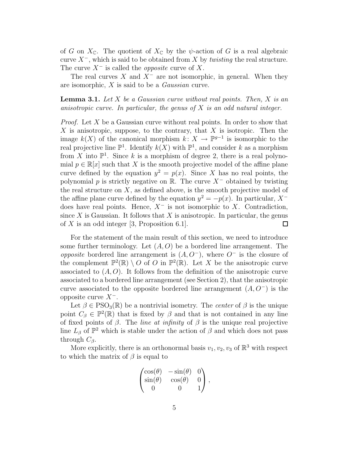of G on  $X_{\mathbb{C}}$ . The quotient of  $X_{\mathbb{C}}$  by the  $\psi$ -action of G is a real algebraic curve  $X^-$ , which is said to be obtained from X by *twisting* the real structure. The curve  $X^-$  is called the *opposite* curve of X.

The real curves X and  $X^-$  are not isomorphic, in general. When they are isomorphic, X is said to be a Gaussian curve.

**Lemma 3.1.** Let  $X$  be a Gaussian curve without real points. Then,  $X$  is an anisotropic curve. In particular, the genus of  $X$  is an odd natural integer.

*Proof.* Let X be a Gaussian curve without real points. In order to show that  $X$  is anisotropic, suppose, to the contrary, that  $X$  is isotropic. Then the image  $k(X)$  of the canonical morphism  $k: X \to \mathbb{P}^{g-1}$  is isomorphic to the real projective line  $\mathbb{P}^1$ . Identify  $k(X)$  with  $\mathbb{P}^1$ , and consider k as a morphism from X into  $\mathbb{P}^1$ . Since k is a morphism of degree 2, there is a real polynomial  $p \in \mathbb{R}[x]$  such that X is the smooth projective model of the affine plane curve defined by the equation  $y^2 = p(x)$ . Since X has no real points, the polynomial p is strictly negative on R. The curve  $X^-$  obtained by twisting the real structure on  $X$ , as defined above, is the smooth projective model of the affine plane curve defined by the equation  $y^2 = -p(x)$ . In particular,  $X^$ does have real points. Hence,  $X^-$  is not isomorphic to X. Contradiction, since X is Gaussian. It follows that X is anisotropic. In particular, the genus of X is an odd integer [3, Proposition 6.1].  $\Box$ 

For the statement of the main result of this section, we need to introduce some further terminology. Let  $(A, O)$  be a bordered line arrangement. The *opposite* bordered line arrangement is  $(A, O^-)$ , where  $O^-$  is the closure of the complement  $\mathbb{P}^2(\mathbb{R}) \setminus O$  of O in  $\mathbb{P}^2(\mathbb{R})$ . Let X be the anisotropic curve associated to  $(A, O)$ . It follows from the definition of the anisotropic curve associated to a bordered line arrangement (see Section 2), that the anisotropic curve associated to the opposite bordered line arrangement  $(A, O^-)$  is the opposite curve  $X<sup>−</sup>$ .

Let  $\beta \in \text{PSO}_3(\mathbb{R})$  be a nontrivial isometry. The *center* of  $\beta$  is the unique point  $C_{\beta} \in \mathbb{P}^2(\mathbb{R})$  that is fixed by  $\beta$  and that is not contained in any line of fixed points of  $\beta$ . The *line at infinity* of  $\beta$  is the unique real projective line  $L_{\beta}$  of  $\mathbb{P}^2$  which is stable under the action of  $\beta$  and which does not pass through  $C_\beta$ .

More explicitly, there is an orthonormal basis  $v_1, v_2, v_3$  of  $\mathbb{R}^3$  with respect to which the matrix of  $\beta$  is equal to

$$
\begin{pmatrix}\n\cos(\theta) & -\sin(\theta) & 0 \\
\sin(\theta) & \cos(\theta) & 0 \\
0 & 0 & 1\n\end{pmatrix},
$$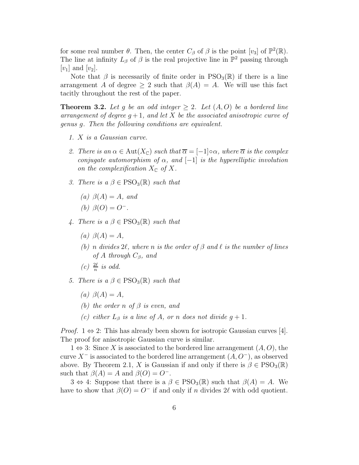for some real number  $\theta$ . Then, the center  $C_{\beta}$  of  $\beta$  is the point  $[v_3]$  of  $\mathbb{P}^2(\mathbb{R})$ . The line at infinity  $L_{\beta}$  of  $\beta$  is the real projective line in  $\mathbb{P}^2$  passing through  $[v_1]$  and  $[v_2]$ .

Note that  $\beta$  is necessarily of finite order in PSO<sub>3</sub>( $\mathbb{R}$ ) if there is a line arrangement A of degree  $\geq 2$  such that  $\beta(A) = A$ . We will use this fact tacitly throughout the rest of the paper.

**Theorem 3.2.** Let g be an odd integer  $\geq 2$ . Let  $(A, O)$  be a bordered line arrangement of degree  $q+1$ , and let X be the associated anisotropic curve of genus g. Then the following conditions are equivalent.

- 1. X is a Gaussian curve.
- 2. There is an  $\alpha \in \text{Aut}(X_{\mathbb{C}})$  such that  $\overline{\alpha} = [-1] \circ \alpha$ , where  $\overline{\alpha}$  is the complex conjugate automorphism of  $\alpha$ , and  $[-1]$  is the hyperelliptic involution on the complexification  $X_{\mathbb{C}}$  of X.
- 3. There is  $a \beta \in \text{PSO}_3(\mathbb{R})$  such that
	- (a)  $\beta(A) = A$ , and

(b) 
$$
\beta(O) = O^-
$$
.

- 4. There is a  $\beta \in \text{PSO}_3(\mathbb{R})$  such that
	- (a)  $\beta(A) = A$ ,
	- (b) n divides  $2\ell$ , where n is the order of  $\beta$  and  $\ell$  is the number of lines of A through  $C_\beta$ , and
	- (c)  $\frac{2\ell}{n}$  is odd.
- 5. There is  $a \beta \in \text{PSO}_3(\mathbb{R})$  such that
	- (a)  $\beta(A) = A$ ,
	- (b) the order n of  $\beta$  is even, and
	- (c) either  $L_{\beta}$  is a line of A, or n does not divide  $g + 1$ .

*Proof.*  $1 \Leftrightarrow 2$ : This has already been shown for isotropic Gaussian curves [4]. The proof for anisotropic Gaussian curve is similar.

 $1 \Leftrightarrow 3$ : Since X is associated to the bordered line arrangement  $(A, O)$ , the curve  $X^-$  is associated to the bordered line arrangement  $(A, O^-)$ , as observed above. By Theorem 2.1, X is Gaussian if and only if there is  $\beta \in \text{PSO}_3(\mathbb{R})$ such that  $\beta(A) = A$  and  $\beta(O) = O^{-}$ .

 $3 \Leftrightarrow 4$ : Suppose that there is a  $\beta \in \text{PSO}_3(\mathbb{R})$  such that  $\beta(A) = A$ . We have to show that  $\beta(O) = O^-$  if and only if n divides 2 $\ell$  with odd quotient.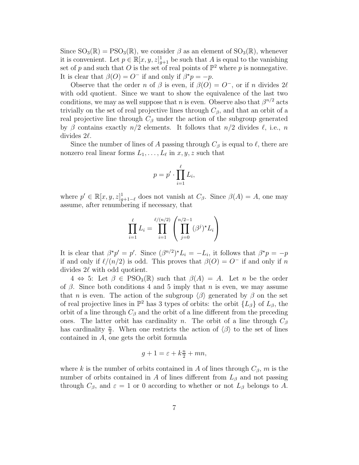Since  $SO_3(\mathbb{R}) = PSO_3(\mathbb{R})$ , we consider  $\beta$  as an element of  $SO_3(\mathbb{R})$ , whenever it is convenient. Let  $p \in \mathbb{R}[x, y, z]_{g+1}^1$  be such that A is equal to the vanishing set of p and such that O is the set of real points of  $\mathbb{P}^2$  where p is nonnegative. It is clear that  $\beta(O) = O^-$  if and only if  $\beta^* p = -p$ .

Observe that the order n of  $\beta$  is even, if  $\beta(O) = O^-$ , or if n divides  $2\ell$ with odd quotient. Since we want to show the equivalence of the last two conditions, we may as well suppose that n is even. Observe also that  $\beta^{n/2}$  acts trivially on the set of real projective lines through  $C_\beta$ , and that an orbit of a real projective line through  $C_\beta$  under the action of the subgroup generated by β contains exactly  $n/2$  elements. It follows that  $n/2$  divides  $\ell$ , i.e., n divides  $2\ell$ .

Since the number of lines of A passing through  $C_\beta$  is equal to  $\ell$ , there are nonzero real linear forms  $L_1, \ldots, L_\ell$  in  $x, y, z$  such that

$$
p = p' \cdot \prod_{i=1}^{\ell} L_i,
$$

where  $p' \in \mathbb{R}[x, y, z]_{g+1-\ell}^1$  does not vanish at  $C_\beta$ . Since  $\beta(A) = A$ , one may assume, after renumbering if necessary, that

$$
\prod_{i=1}^{\ell} L_i = \prod_{i=1}^{\ell/(n/2)} \left( \prod_{j=0}^{n/2-1} (\beta^j)^{\star} L_i \right)
$$

It is clear that  $\beta^* p' = p'$ . Since  $(\beta^{n/2})^* L_i = -L_i$ , it follows that  $\beta^* p = -p$ if and only if  $\ell/(n/2)$  is odd. This proves that  $\beta(O) = O^-$  if and only if n divides  $2\ell$  with odd quotient.

 $4 \Leftrightarrow 5$ : Let  $\beta \in \text{PSO}_3(\mathbb{R})$  such that  $\beta(A) = A$ . Let n be the order of  $\beta$ . Since both conditions 4 and 5 imply that *n* is even, we may assume that n is even. The action of the subgroup  $\langle \beta \rangle$  generated by  $\beta$  on the set of real projective lines in  $\mathbb{P}^2$  has 3 types of orbits: the orbit  $\{L_\beta\}$  of  $L_\beta$ , the orbit of a line through  $C_\beta$  and the orbit of a line different from the preceding ones. The latter orbit has cardinality n. The orbit of a line through  $C_\beta$ has cardinality  $\frac{n}{2}$  $\frac{n}{2}$ . When one restricts the action of  $\langle \beta \rangle$  to the set of lines contained in A, one gets the orbit formula

$$
g + 1 = \varepsilon + k\frac{n}{2} + mn,
$$

where k is the number of orbits contained in A of lines through  $C_\beta$ , m is the number of orbits contained in A of lines different from  $L_\beta$  and not passing through  $C_\beta$ , and  $\varepsilon = 1$  or 0 according to whether or not  $L_\beta$  belongs to A.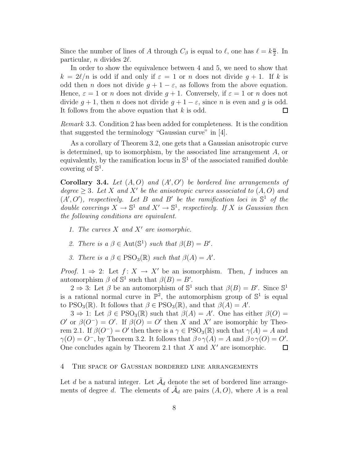Since the number of lines of A through  $C_\beta$  is equal to  $\ell$ , one has  $\ell = k\frac{n}{2}$  $\frac{n}{2}$ . In particular, *n* divides  $2\ell$ .

In order to show the equivalence between 4 and 5, we need to show that  $k = 2\ell/n$  is odd if and only if  $\varepsilon = 1$  or n does not divide  $q + 1$ . If k is odd then n does not divide  $g + 1 - \varepsilon$ , as follows from the above equation. Hence,  $\varepsilon = 1$  or n does not divide  $g + 1$ . Conversely, if  $\varepsilon = 1$  or n does not divide  $g + 1$ , then *n* does not divide  $g + 1 - \varepsilon$ , since *n* is even and *g* is odd.<br>It follows from the above equation that *k* is odd. It follows from the above equation that  $k$  is odd.

Remark 3.3. Condition 2 has been added for completeness. It is the condition that suggested the terminology "Gaussian curve" in [4].

As a corollary of Theorem 3.2, one gets that a Gaussian anisotropic curve is determined, up to isomorphism, by the associated line arrangement A, or equivalently, by the ramification locus in  $\mathbb{S}^1$  of the associated ramified double covering of  $\mathbb{S}^1$ .

Corollary 3.4. Let  $(A, O)$  and  $(A', O')$  be bordered line arrangements of degree  $\geq 3$ . Let X and X' be the anisotropic curves associated to  $(A, O)$  and  $(A', O')$ , respectively. Let B and B' be the ramification loci in  $\mathbb{S}^1$  of the double coverings  $X \to \mathbb{S}^1$  and  $X' \to \mathbb{S}^1$ , respectively. If X is Gaussian then the following conditions are equivalent.

- 1. The curves  $X$  and  $X'$  are isomorphic.
- 2. There is  $a \beta \in \text{Aut}(\mathbb{S}^1)$  such that  $\beta(B) = B'$ .
- 3. There is  $a \beta \in \text{PSO}_3(\mathbb{R})$  such that  $\beta(A) = A'$ .

*Proof.*  $1 \Rightarrow 2$ : Let  $f: X \rightarrow X'$  be an isomorphism. Then, f induces an automorphism  $\beta$  of  $\mathbb{S}^1$  such that  $\beta(B) = B'$ .

 $2 \Rightarrow 3$ : Let  $\beta$  be an automorphism of  $\mathbb{S}^1$  such that  $\beta(B) = B'$ . Since  $\mathbb{S}^1$ is a rational normal curve in  $\mathbb{P}^2$ , the automorphism group of  $\mathbb{S}^1$  is equal to PSO<sub>3</sub>( $\mathbb{R}$ ). It follows that  $\beta \in \text{PSO}_3(\mathbb{R})$ , and that  $\beta(A) = A'$ .

 $3 \Rightarrow 1$ : Let  $\beta \in \text{PSO}_3(\mathbb{R})$  such that  $\beta(A) = A'$ . One has either  $\beta(O) =$ O' or  $\beta(O^-) = O'$ . If  $\beta(O) = O'$  then X and X' are isomorphic by Theorem 2.1. If  $\beta(O^-) = O'$  then there is a  $\gamma \in \text{PSO}_3(\mathbb{R})$  such that  $\gamma(A) = A$  and  $\gamma(O) = O^-$ , by Theorem 3.2. It follows that  $\beta \circ \gamma(A) = A$  and  $\beta \circ \gamma(O) = O'$ . One concludes again by Theorem 2.1 that  $X$  and  $X'$  are isomorphic.

# 4 The space of Gaussian bordered line arrangements

Let d be a natural integer. Let  $\tilde{\mathcal{A}}_d$  denote the set of bordered line arrangements of degree d. The elements of  $\tilde{\mathcal{A}}_d$  are pairs  $(A, O)$ , where A is a real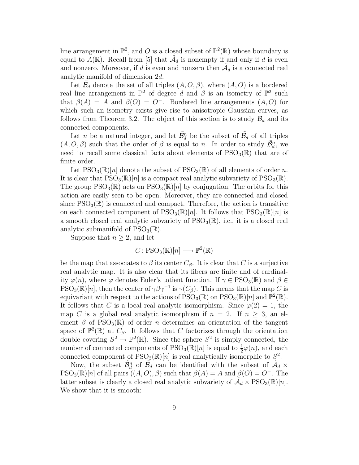line arrangement in  $\mathbb{P}^2$ , and O is a closed subset of  $\mathbb{P}^2(\mathbb{R})$  whose boundary is equal to  $A(\mathbb{R})$ . Recall from [5] that  $\tilde{\mathcal{A}}_d$  is nonempty if and only if d is even and nonzero. Moreover, if d is even and nonzero then  $\tilde{\mathcal{A}}_d$  is a connected real analytic manifold of dimension 2d.

Let  $\tilde{\mathcal{B}}_d$  denote the set of all triples  $(A, O, \beta)$ , where  $(A, O)$  is a bordered real line arrangement in  $\mathbb{P}^2$  of degree d and  $\beta$  is an isometry of  $\mathbb{P}^2$  such that  $\beta(A) = A$  and  $\beta(O) = O^-$ . Bordered line arrangements  $(A, O)$  for which such an isometry exists give rise to anisotropic Gaussian curves, as follows from Theorem 3.2. The object of this section is to study  $\tilde{\beta}_d$  and its connected components.

Let *n* be a natural integer, and let  $\tilde{\mathcal{B}}_d^n$  be the subset of  $\tilde{\mathcal{B}}_d$  of all triples  $(A, O, \beta)$  such that the order of  $\beta$  is equal to n. In order to study  $\tilde{\mathcal{B}}_d^n$ , we need to recall some classical facts about elements of  $PSO_3(\mathbb{R})$  that are of finite order.

Let  $PSO_3(\mathbb{R})[n]$  denote the subset of  $PSO_3(\mathbb{R})$  of all elements of order n. It is clear that  $PSO_3(\mathbb{R})[n]$  is a compact real analytic subvariety of  $PSO_3(\mathbb{R})$ . The group  $PSO_3(\mathbb{R})$  acts on  $PSO_3(\mathbb{R})[n]$  by conjugation. The orbits for this action are easily seen to be open. Moreover, they are connected and closed since  $PSO<sub>3</sub>(\mathbb{R})$  is connected and compact. Therefore, the action is transitive on each connected component of  $PSO_3(\mathbb{R})[n]$ . It follows that  $PSO_3(\mathbb{R})[n]$  is a smooth closed real analytic subvariety of  $PSO_3(\mathbb{R})$ , i.e., it is a closed real analytic submanifold of  $PSO_3(\mathbb{R})$ .

Suppose that  $n \geq 2$ , and let

$$
C \colon \mathrm{PSO}_3(\mathbb{R})[n] \longrightarrow \mathbb{P}^2(\mathbb{R})
$$

be the map that associates to  $\beta$  its center  $C_{\beta}$ . It is clear that C is a surjective real analytic map. It is also clear that its fibers are finite and of cardinality  $\varphi(n)$ , where  $\varphi$  denotes Euler's totient function. If  $\gamma \in \text{PSO}_3(\mathbb{R})$  and  $\beta \in$  $PSO_3(\mathbb{R})[n]$ , then the center of  $\gamma \beta \gamma^{-1}$  is  $\gamma(C_\beta)$ . This means that the map C is equivariant with respect to the actions of  $PSO_3(\mathbb{R})$  on  $PSO_3(\mathbb{R})[n]$  and  $\mathbb{P}^2(\mathbb{R})$ . It follows that C is a local real analytic isomorphism. Since  $\varphi(2) = 1$ , the map C is a global real analytic isomorphism if  $n = 2$ . If  $n > 3$ , an element  $\beta$  of PSO<sub>3</sub>( $\mathbb{R}$ ) of order *n* determines an orientation of the tangent space of  $\mathbb{P}^2(\mathbb{R})$  at  $C_\beta$ . It follows that C factorizes through the orientation double covering  $S^2 \to \mathbb{P}^2(\mathbb{R})$ . Since the sphere  $S^2$  is simply connected, the number of connected components of  $PSO_3(\mathbb{R})[n]$  is equal to  $\frac{1}{2}\varphi(n)$ , and each connected component of  $PSO_3(\mathbb{R})[n]$  is real analytically isomorphic to  $S^2$ .

Now, the subset  $\tilde{\mathcal{B}}_d^n$  of  $\tilde{\mathcal{B}}_d$  can be identified with the subset of  $\tilde{\mathcal{A}}_d$  ×  $PSO_3(\mathbb{R})[n]$  of all pairs  $((A, O), \beta)$  such that  $\beta(A) = A$  and  $\beta(O) = O^-$ . The latter subset is clearly a closed real analytic subvariety of  $\tilde{\mathcal{A}}_d \times \text{PSO}_3(\mathbb{R})[n]$ . We show that it is smooth: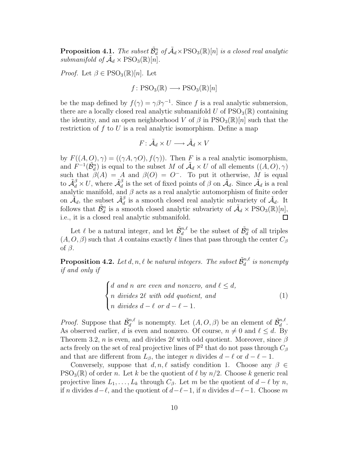**Proposition 4.1.** The subset  $\tilde{\mathcal{B}}_d^n$  of  $\tilde{\mathcal{A}}_d \times \text{PSO}_3(\mathbb{R})[n]$  is a closed real analytic submanifold of  $\tilde{A}_d \times \text{PSO}_3(\mathbb{R})[n]$ .

*Proof.* Let  $\beta \in \text{PSO}_3(\mathbb{R})[n]$ . Let

$$
f: PSO_3(\mathbb{R}) \longrightarrow PSO_3(\mathbb{R})[n]
$$

be the map defined by  $f(\gamma) = \gamma \beta \gamma^{-1}$ . Since f is a real analytic submersion, there are a locally closed real analytic submanifold U of  $PSO_3(\mathbb{R})$  containing the identity, and an open neighborhood V of  $\beta$  in PSO<sub>3</sub>( $\mathbb{R}$ )[n] such that the restriction of  $f$  to  $U$  is a real analytic isomorphism. Define a map

$$
F\colon \tilde{\mathcal{A}}_d \times U \longrightarrow \tilde{\mathcal{A}}_d \times V
$$

by  $F((A, O), \gamma) = ((\gamma A, \gamma O), f(\gamma))$ . Then F is a real analytic isomorphism, and  $F^{-1}(\tilde{B}_d^n)$  is equal to the subset M of  $\tilde{A}_d \times U$  of all elements  $((A, O), \gamma)$ such that  $\beta(A) = A$  and  $\beta(O) = O^-$ . To put it otherwise, M is equal to  $\tilde{\mathcal{A}}_d^{\beta} \times U$ , where  $\tilde{\mathcal{A}}_d^{\beta}$  is the set of fixed points of  $\beta$  on  $\tilde{\mathcal{A}}_d$ . Since  $\tilde{\mathcal{A}}_d$  is a real analytic manifold, and  $\beta$  acts as a real analytic automorphism of finite order on  $\tilde{\mathcal{A}}_d$ , the subset  $\tilde{\mathcal{A}}_d^{\beta}$  is a smooth closed real analytic subvariety of  $\tilde{\mathcal{A}}_d$ . It follows that  $\tilde{\mathcal{B}}_d^n$  is a smooth closed analytic subvariety of  $\tilde{\mathcal{A}}_d \times \text{PSO}_3(\mathbb{R})[n],$ i.e., it is a closed real analytic submanifold.

Let  $\ell$  be a natural integer, and let  $\tilde{\mathcal{B}}_d^{n,\ell}$  be the subset of  $\tilde{\mathcal{B}}_d^n$  of all triples  $(A, O, \beta)$  such that A contains exactly  $\ell$  lines that pass through the center  $C_{\beta}$ of  $\beta$ .

**Proposition 4.2.** Let  $d, n, \ell$  be natural integers. The subset  $\tilde{\mathcal{B}}_d^{n,\ell}$  is nonempty if and only if

$$
\begin{cases}\nd \text{ and } n \text{ are even and nonzero, and } \ell \leq d, \\
n \text{ divides } 2\ell \text{ with odd quotient, and} \\
n \text{ divides } d - \ell \text{ or } d - \ell - 1.\n\end{cases} \tag{1}
$$

*Proof.* Suppose that  $\tilde{\mathcal{B}}_d^{n,\ell}$  is nonempty. Let  $(A, O, \beta)$  be an element of  $\tilde{\mathcal{B}}_d^{n,\ell}$ . As observed earlier, d is even and nonzero. Of course,  $n \neq 0$  and  $\ell \leq d$ . By Theorem 3.2, n is even, and divides 2 $\ell$  with odd quotient. Moreover, since  $\beta$ acts freely on the set of real projective lines of  $\mathbb{P}^2$  that do not pass through  $C_\beta$ and that are different from  $L_{\beta}$ , the integer n divides  $d - \ell$  or  $d - \ell - 1$ .

Conversely, suppose that  $d, n, \ell$  satisfy condition 1. Choose any  $\beta \in$  $PSO_3(\mathbb{R})$  of order n. Let k be the quotient of  $\ell$  by  $n/2$ . Choose k generic real projective lines  $L_1, \ldots, L_k$  through  $C_\beta$ . Let m be the quotient of  $d - \ell$  by n, if n divides  $d-\ell$ , and the quotient of  $d-\ell-1$ , if n divides  $d-\ell-1$ . Choose m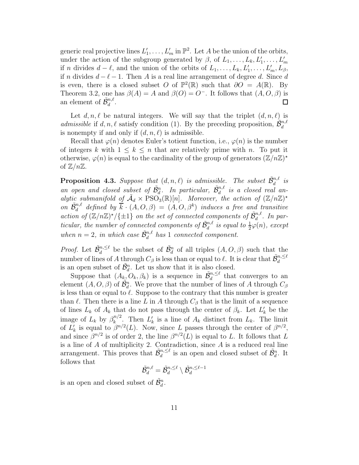generic real projective lines  $L'_1, \ldots, L'_m$  in  $\mathbb{P}^2$ . Let A be the union of the orbits, under the action of the subgroup generated by  $\beta$ , of  $L_1, \ldots, L_k, L'_1, \ldots, L'_m$ if n divides  $d - \ell$ , and the union of the orbits of  $L_1, \ldots, L_k, L'_1, \ldots, L'_m, L_\beta$ , if n divides  $d - \ell - 1$ . Then A is a real line arrangement of degree d. Since d is even, there is a closed subset O of  $\mathbb{P}^2(\mathbb{R})$  such that  $\partial O = A(\mathbb{R})$ . By Theorem 3.2, one has  $\beta(A) = A$  and  $\beta(O) = O^-$ . It follows that  $(A, O, \beta)$  is an element of  $\tilde{\mathcal{B}}_d^{n,\ell}$ .  $\Box$ 

Let  $d, n, \ell$  be natural integers. We will say that the triplet  $(d, n, \ell)$  is admissible if d, n,  $\ell$  satisfy condition (1). By the preceding proposition,  $\tilde{\mathcal{B}}_d^{n,\ell}$ is nonempty if and only if  $(d, n, \ell)$  is admissible.

Recall that  $\varphi(n)$  denotes Euler's totient function, i.e.,  $\varphi(n)$  is the number of integers k with  $1 \leq k \leq n$  that are relatively prime with n. To put it otherwise,  $\varphi(n)$  is equal to the cardinality of the group of generators  $(\mathbb{Z}/n\mathbb{Z})^*$ of  $\mathbb{Z}/n\mathbb{Z}$ .

**Proposition 4.3.** Suppose that  $(d, n, \ell)$  is admissible. The subset  $\tilde{\mathcal{B}}_d^{n,\ell}$  is an open and closed subset of  $\tilde{B}_d^n$ . In particular,  $\tilde{B}_d^{n,\ell}$  is a closed real analytic submanifold of  $\tilde{\mathcal{A}}_d \times \text{PSO}_3(\mathbb{R})[n]$ . Moreover, the action of  $(\mathbb{Z}/n\mathbb{Z})^*$ on  $\tilde{\mathcal{B}}_d^{n,\ell}$  defined by  $\bar{k} \cdot (A, O, \beta) = (A, O, \beta^k)$  induces a free and transitive action of  $(\mathbb{Z}/n\mathbb{Z})^*/\{\pm 1\}$  on the set of connected components of  $\tilde{\mathcal{B}}_d^{n,\ell}$ . In particular, the number of connected components of  $\tilde{\mathcal{B}}_d^{n,\ell}$  is equal to  $\frac{1}{2}\varphi(n)$ , except when  $n = 2$ , in which case  $\tilde{\mathcal{B}}_d^{n,\ell}$  has 1 connected component.

*Proof.* Let  $\tilde{\mathcal{B}}_d^{n,\leq \ell}$  be the subset of  $\tilde{\mathcal{B}}_d^n$  of all triples  $(A, O, \beta)$  such that the number of lines of A through  $C_\beta$  is less than or equal to  $\ell$ . It is clear that  $\tilde{\mathcal{B}}_d^{n,\leq \ell}$ is an open subset of  $\tilde{\mathcal{B}}_d^n$ . Let us show that it is also closed.

Suppose that  $(A_k, O_k, \beta_k)$  is a sequence in  $\tilde{\mathcal{B}}_d^{n, \leq \ell}$  that converges to an element  $(A, O, \beta)$  of  $\tilde{B}_d^n$ . We prove that the number of lines of A through  $C_\beta$ is less than or equal to  $\ell$ . Suppose to the contrary that this number is greater than  $\ell$ . Then there is a line L in A through  $C_{\beta}$  that is the limit of a sequence of lines  $L_k$  of  $A_k$  that do not pass through the center of  $\beta_k$ . Let  $L'_k$  be the image of  $L_k$  by  $\beta_k^{n/2}$  $\frac{n}{k}$ . Then  $L'_{k}$  is a line of  $A_{k}$  distinct from  $L_{k}$ . The limit of  $L'_k$  is equal to  $\beta^{n/2}(L)$ . Now, since L passes through the center of  $\beta^{n/2}$ , and since  $\beta^{n/2}$  is of order 2, the line  $\beta^{n/2}(L)$  is equal to L. It follows that L is a line of  $A$  of multiplicity 2. Contradiction, since  $A$  is a reduced real line arrangement. This proves that  $\tilde{\mathcal{B}}_d^{n,\leq \ell}$  is an open and closed subset of  $\tilde{\mathcal{B}}_d^n$ . It follows that

$$
\tilde{\mathcal{B}}^{n,\ell}_d = \tilde{\mathcal{B}}^{n,\leq \ell}_d \setminus \tilde{\mathcal{B}}^{n,\leq \ell-1}_d
$$

is an open and closed subset of  $\tilde{\mathcal{B}}_d^n$ .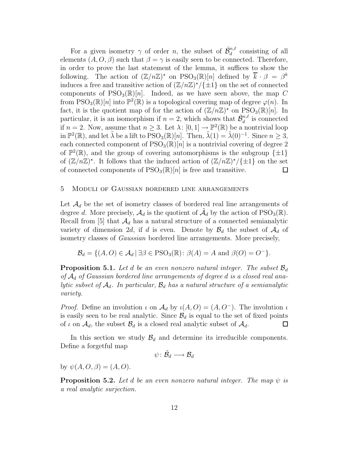For a given isometry  $\gamma$  of order n, the subset of  $\tilde{\mathcal{B}}_d^{n,\ell}$  consisting of all elements  $(A, O, \beta)$  such that  $\beta = \gamma$  is easily seen to be connected. Therefore, in order to prove the last statement of the lemma, it suffices to show the following. The action of  $(\mathbb{Z}/n\mathbb{Z})^*$  on  $\text{PSO}_3(\mathbb{R})[n]$  defined by  $\overline{k} \cdot \beta = \beta^k$ induces a free and transitive action of  $(\mathbb{Z}/n\mathbb{Z})^*/\{\pm 1\}$  on the set of connected components of  $PSO_3(\mathbb{R})[n]$ . Indeed, as we have seen above, the map C from PSO<sub>3</sub>( $\mathbb{R}$ )[n] into  $\mathbb{P}^2(\mathbb{R})$  is a topological covering map of degree  $\varphi(n)$ . In fact, it is the quotient map of for the action of  $(\mathbb{Z}/n\mathbb{Z})^*$  on  $PSO_3(\mathbb{R})[n]$ . In particular, it is an isomorphism if  $n = 2$ , which shows that  $\tilde{\mathcal{B}}_d^{n,\ell}$  is connected if  $n = 2$ . Now, assume that  $n \geq 3$ . Let  $\lambda: [0, 1] \to \mathbb{P}^2(\mathbb{R})$  be a nontrivial loop in  $\mathbb{P}^2(\mathbb{R})$ , and let  $\tilde{\lambda}$  be a lift to  $\text{PSO}_3(\mathbb{R})[n]$ . Then,  $\tilde{\lambda}(1) = \tilde{\lambda}(0)^{-1}$ . Since  $n \geq 3$ , each connected component of  $PSO_3(\mathbb{R})[n]$  is a nontrivial covering of degree 2 of  $\mathbb{P}^2(\mathbb{R})$ , and the group of covering automorphisms is the subgroup  $\{\pm 1\}$ of  $(\mathbb{Z}/n\mathbb{Z})^*$ . It follows that the induced action of  $(\mathbb{Z}/n\mathbb{Z})^*/\{\pm 1\}$  on the set of connected components of  $PSO_3(\mathbb{R})[n]$  is free and transitive.

#### 5 Moduli of Gaussian bordered line arrangements

Let  $\mathcal{A}_d$  be the set of isometry classes of bordered real line arrangements of degree d. More precisely,  $\mathcal{A}_d$  is the quotient of  $\tilde{\mathcal{A}}_d$  by the action of PSO<sub>3</sub>( $\mathbb{R}$ ). Recall from [5] that  $\mathcal{A}_d$  has a natural structure of a connected semianalytic variety of dimension 2d, if d is even. Denote by  $\mathcal{B}_d$  the subset of  $\mathcal{A}_d$  of isometry classes of Gaussian bordered line arrangements. More precisely,

$$
\mathcal{B}_d = \{ (A, O) \in \mathcal{A}_d \mid \exists \beta \in \text{PSO}_3(\mathbb{R}) : \beta(A) = A \text{ and } \beta(O) = O^{-} \}.
$$

**Proposition 5.1.** Let d be an even nonzero natural integer. The subset  $\mathcal{B}_d$ of  $\mathcal{A}_d$  of Gaussian bordered line arrangements of degree d is a closed real analytic subset of  $A_d$ . In particular,  $B_d$  has a natural structure of a semianalytic variety.

*Proof.* Define an involution  $\iota$  on  $\mathcal{A}_d$  by  $\iota(A, O) = (A, O^{-})$ . The involution  $\iota$ is easily seen to be real analytic. Since  $\mathcal{B}_d$  is equal to the set of fixed points of  $\iota$  on  $\mathcal{A}_d$ , the subset  $\mathcal{B}_d$  is a closed real analytic subset of  $\mathcal{A}_d$ . of  $\iota$  on  $\mathcal{A}_d$ , the subset  $\mathcal{B}_d$  is a closed real analytic subset of  $\mathcal{A}_d$ .

In this section we study  $\mathcal{B}_d$  and determine its irreducible components. Define a forgetful map

$$
\psi\colon \tilde{\mathcal{B}}_d\longrightarrow \mathcal{B}_d
$$

by  $\psi(A, O, \beta) = (A, O)$ .

**Proposition 5.2.** Let d be an even nonzero natural integer. The map  $\psi$  is a real analytic surjection.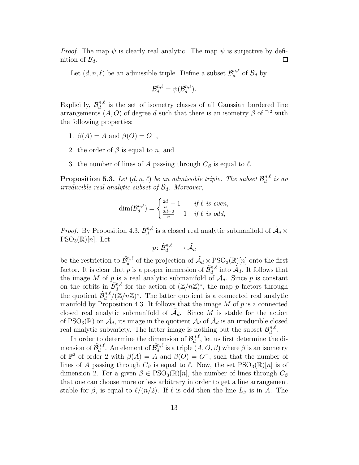*Proof.* The map  $\psi$  is clearly real analytic. The map  $\psi$  is surjective by definition of  $\mathcal{B}_d$ .  $\Box$ 

Let  $(d, n, \ell)$  be an admissible triple. Define a subset  $\mathcal{B}_d^{n, \ell}$  $\int_{d}^{n,\ell}$  of  $\mathcal{B}_d$  by

$$
\mathcal{B}_{d}^{n,\ell}=\psi(\tilde{\mathcal{B}}_{d}^{n,\ell}).
$$

Explicitly,  $\mathcal{B}_d^{n,\ell}$  $\frac{n}{d}$  is the set of isometry classes of all Gaussian bordered line arrangements  $(A, O)$  of degree d such that there is an isometry  $\beta$  of  $\mathbb{P}^2$  with the following properties:

- 1.  $\beta(A) = A$  and  $\beta(O) = O^{-}$ ,
- 2. the order of  $\beta$  is equal to n, and
- 3. the number of lines of A passing through  $C_\beta$  is equal to  $\ell$ .

**Proposition 5.3.** Let  $(d, n, \ell)$  be an admissible triple. The subset  $\mathcal{B}_d^{n,\ell}$  $\frac{n,\ell}{d}$  is an irreducible real analytic subset of  $\mathcal{B}_d$ . Moreover,

$$
\dim(\mathcal{B}_d^{n,\ell}) = \begin{cases} \frac{2d}{n} - 1 & \text{if } \ell \text{ is even,} \\ \frac{2d-2}{n} - 1 & \text{if } \ell \text{ is odd,} \end{cases}
$$

*Proof.* By Proposition 4.3,  $\tilde{\mathcal{B}}_d^{n,\ell}$  is a closed real analytic submanifold of  $\tilde{\mathcal{A}}_d \times$  $PSO_3(\mathbb{R})[n]$ . Let

$$
p\colon \tilde{\mathcal{B}}_d^{n,\ell}\longrightarrow \tilde{\mathcal{A}}_d
$$

be the restriction to  $\tilde{\mathcal{B}}_d^{n,\ell}$  of the projection of  $\tilde{\mathcal{A}}_d \times \text{PSO}_3(\mathbb{R})[n]$  onto the first factor. It is clear that p is a proper immersion of  $\tilde{\mathcal{B}}_d^{n,\ell}$  into  $\tilde{\mathcal{A}}_d$ . It follows that the image M of p is a real analytic submanifold of  $\tilde{\mathcal{A}}_d$ . Since p is constant on the orbits in  $\tilde{\mathcal{B}}_d^{n,\ell}$  for the action of  $(\mathbb{Z}/n\mathbb{Z})^*$ , the map p factors through the quotient  $\tilde{\mathcal{B}}_d^{n,\ell}/(\mathbb{Z}/n\mathbb{Z})^*$ . The latter quotient is a connected real analytic manifold by Proposition 4.3. It follows that the image  $M$  of  $p$  is a connected closed real analytic submanifold of  $\tilde{\mathcal{A}}_d$ . Since  $M$  is stable for the action of PSO<sub>3</sub>( $\mathbb{R}$ ) on  $\tilde{A}_d$ , its image in the quotient  $A_d$  of  $\tilde{A}_d$  is an irreducible closed real analytic subvariety. The latter image is nothing but the subset  $\mathcal{B}_d^{n,\ell}$  $a^{n,\ell}$ .

In order to determine the dimension of  $\mathcal{B}_d^{n,\ell}$  $\frac{n,\ell}{d}$ , let us first determine the dimension of  $\tilde{\mathcal{B}}_d^{n,\ell}$ . An element of  $\tilde{\mathcal{B}}_d^{n,\ell}$  is a triple  $(A, O, \beta)$  where  $\beta$  is an isometry of  $\mathbb{P}^2$  of order 2 with  $\beta(A) = A$  and  $\beta(O) = O^-$ , such that the number of lines of A passing through  $C_\beta$  is equal to  $\ell$ . Now, the set PSO<sub>3</sub>(R)[n] is of dimension 2. For a given  $\beta \in \text{PSO}_3(\mathbb{R})[n]$ , the number of lines through  $C_\beta$ that one can choose more or less arbitrary in order to get a line arrangement stable for  $\beta$ , is equal to  $\ell/(n/2)$ . If  $\ell$  is odd then the line  $L_{\beta}$  is in A. The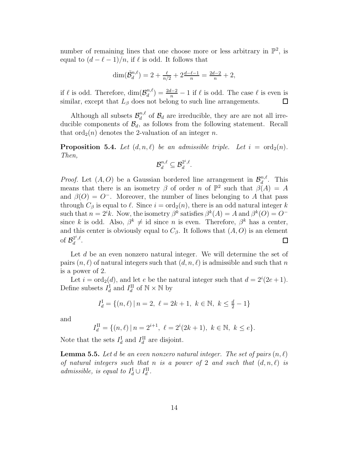number of remaining lines that one choose more or less arbitrary in  $\mathbb{P}^2$ , is equal to  $(d - \ell - 1)/n$ , if  $\ell$  is odd. It follows that

$$
\dim(\tilde{\mathcal{B}}_d^{n,\ell}) = 2 + \frac{\ell}{n/2} + 2\frac{d-\ell-1}{n} = \frac{2d-2}{n} + 2,
$$

if  $\ell$  is odd. Therefore,  $\dim(\mathcal{B}_d^{n,\ell})$  $\binom{n,\ell}{d} = \frac{2d-2}{n} - 1$  if  $\ell$  is odd. The case  $\ell$  is even is similar, except that  $L_\beta$  does not belong to such line arrangements.

Although all subsets  $\mathcal{B}_d^{n,\ell}$  $\mathcal{B}_d^{n,\ell}$  of  $\mathcal{B}_d$  are irreducible, they are are not all irreducible components of  $\mathcal{B}_d$ , as follows from the following statement. Recall that  $\text{ord}_2(n)$  denotes the 2-valuation of an integer n.

**Proposition 5.4.** Let  $(d, n, \ell)$  be an admissible triple. Let  $i = \text{ord}_2(n)$ . Then,

$$
\mathcal{B}_{d}^{n,\ell} \subseteq \mathcal{B}_{d}^{2^{i},\ell}.
$$

*Proof.* Let  $(A, O)$  be a Gaussian bordered line arrangement in  $\mathcal{B}_d^{n,\ell}$  $\int_{d}^{n,\ell}$ . This means that there is an isometry  $\beta$  of order n of  $\mathbb{P}^2$  such that  $\beta(A) = A$ and  $\beta(0) = 0^-$ . Moreover, the number of lines belonging to A that pass through  $C_\beta$  is equal to  $\ell$ . Since  $i = \text{ord}_2(n)$ , there is an odd natural integer k such that  $n = 2^i k$ . Now, the isometry  $\beta^k$  satisfies  $\beta^k(A) = A$  and  $\beta^k(O) = O^{-k}$ since k is odd. Also,  $\beta^k \neq \text{id}$  since n is even. Therefore,  $\beta^k$  has a center, and this center is obviously equal to  $C_{\beta}$ . It follows that  $(A, O)$  is an element of  $\mathcal{B}_d^{2^i,\ell}$  $\frac{d}{d}$ .  $\Box$ 

Let d be an even nonzero natural integer. We will determine the set of pairs  $(n, \ell)$  of natural integers such that  $(d, n, \ell)$  is admissible and such that n is a power of 2.

Let  $i = \text{ord}_2(d)$ , and let e be the natural integer such that  $d = 2^i(2e+1)$ . Define subsets  $I_d^{\text{I}}$  and  $I_d^{\text{II}}$  of  $\mathbb{N} \times \mathbb{N}$  by

$$
I_d^{\mathcal{I}} = \{(n,\ell) \mid n = 2, \ \ell = 2k + 1, \ k \in \mathbb{N}, \ k \le \frac{d}{2} - 1\}
$$

and

$$
I_d^{\text{II}} = \{ (n, \ell) \, | \, n = 2^{i+1}, \ \ell = 2^i (2k + 1), \ k \in \mathbb{N}, \ k \le e \}.
$$

Note that the sets  $I_d^{\text{I}}$  and  $I_d^{\text{II}}$  are disjoint.

**Lemma 5.5.** Let d be an even nonzero natural integer. The set of pairs  $(n, \ell)$ of natural integers such that n is a power of 2 and such that  $(d, n, \ell)$  is admissible, is equal to  $I_d^{\text{I}} \cup I_d^{\text{II}}$ .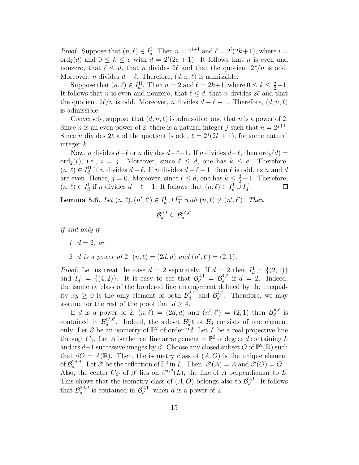*Proof.* Suppose that  $(n, \ell) \in I_d^{\mathcal{I}}$ . Then  $n = 2^{i+1}$  and  $\ell = 2^i(2k+1)$ , where  $i =$ ord<sub>2</sub>(*d*) and  $0 \le k \le e$  with  $d = 2^{i}(2e + 1)$ . It follows that *n* is even and nonzero, that  $\ell \leq d$ , that n divides  $2\ell$  and that the quotient  $2\ell/n$  is odd. Moreover, *n* divides  $d - \ell$ . Therefore,  $(d, n, \ell)$  is admissible.

Suppose that  $(n, \ell) \in I_d^{\text{II}}$ . Then  $n = 2$  and  $\ell = 2k+1$ , where  $0 \leq k \leq \frac{d}{2} - 1$ . It follows that n is even and nonzero, that  $\ell \leq d$ , that n divides 2 $\ell$  and that the quotient  $2\ell/n$  is odd. Moreover, n divides  $d - \ell - 1$ . Therefore,  $(d, n, \ell)$ is admissible.

Conversely, suppose that  $(d, n, \ell)$  is admissible, and that n is a power of 2. Since *n* is an even power of 2, there is a natural integer *j* such that  $n = 2^{j+1}$ . Since *n* divides 2 $\ell$  and the quotient is odd,  $\ell = 2^{j}(2k + 1)$ , for some natural integer k.

Now, n divides  $d-\ell$  or n divides  $d-\ell-1$ . If n divides  $d-\ell$ , then ord<sub>2</sub>(d) =  $\text{ord}_2(\ell)$ , i.e.,  $i = j$ . Moreover, since  $\ell \leq d$ , one has  $k \leq e$ . Therefore,  $(n, \ell) \in I_d^{\text{II}}$  if n divides  $d - \ell$ . If n divides  $d - \ell - 1$ , then  $\ell$  is odd, as n and d are even. Hence,  $j = 0$ . Moreover, since  $\ell \leq d$ , one has  $k \leq \frac{d}{2} - 1$ . Therefore,  $(n, \ell) \in I_d^{\text{I}}$  if n divides  $d - \ell - 1$ . It follows that  $(n, \ell) \in I_d^{\text{I}} \cup I_d^{\text{II}}$ .

**Lemma 5.6.** Let  $(n, \ell), (n', \ell') \in I_d^{\mathcal{I}} \cup I_d^{\mathcal{II}}$  with  $(n, \ell) \neq (n', \ell')$ . Then

$$
\mathcal{B}_{d}^{n,\ell} \subseteq \mathcal{B}_{d}^{n',\ell'}
$$

if and only if

1.  $d = 2$ , or

2. d is a power of 2,  $(n, \ell) = (2d, d)$  and  $(n', \ell') = (2, 1)$ .

*Proof.* Let us treat the case  $d = 2$  separately. If  $d = 2$  then  $I_d^I = \{(2, 1)\}$ and  $I_d^{\text{II}} = \{(4,2)\}\$ . It is easy to see that  $\mathcal{B}_d^{2,1} = \mathcal{B}_d^{4,2}$  $d^{4,2}$  if  $d = 2$ . Indeed, the isometry class of the bordered line arrangement defined by the inequality  $xy \geq 0$  is the only element of both  $\mathcal{B}_d^{2,1}$  $\mathcal{B}_d^{2,1}$  and  $\mathcal{B}_d^{4,2}$  $\frac{4}{d}$ . Therefore, we may assume for the rest of the proof that  $d \geq 4$ .

If d is a power of 2,  $(n, \ell) = (2d, d)$  and  $(n', \ell') = (2, 1)$  then  $\mathcal{B}_d^{n, \ell}$  $\frac{n,\ell}{d}$  is contained in  $\mathcal{B}_d^{n',\ell'}$  $\mathcal{B}_d^{n',\ell'}$ . Indeed, the subset  $\mathcal{B}_d^n\ell$  of  $\mathcal{B}_d$  consists of one element only. Let  $\beta$  be an isometry of  $\mathbb{P}^2$  of order 2d. Let L be a real projective line through  $C_{\beta}$ . Let A be the real line arrangement in  $\mathbb{P}^2$  of degree d containing L and its d–1 successive images by  $\beta$ . Choose any closed subset O of  $\mathbb{P}^2(\mathbb{R})$  such that  $\partial O = A(\mathbb{R})$ . Then, the isometry class of  $(A, O)$  is the unique element of  $\mathcal{B}_d^{2d, d}$ <sup>2d,d</sup>. Let  $\beta'$  be the reflection of  $\mathbb{P}^2$  in L. Then,  $\beta'(A) = A$  and  $\beta'(O) = O^{-}$ . Also, the center  $C_{\beta'}$  of  $\beta'$  lies on  $\beta^{d/2}(L)$ , the line of A perpendicular to L. This shows that the isometry class of  $(A, O)$  belongs also to  $\mathcal{B}_d^{2,1}$  $\frac{d^{2,1}}{d}$ . It follows that  $\mathcal{B}_d^{2d,d}$  $\mathcal{B}_d^{2d,d}$  is contained in  $\mathcal{B}_d^{2,1}$  $d^{(2,1)}_d$ , when d is a power of 2.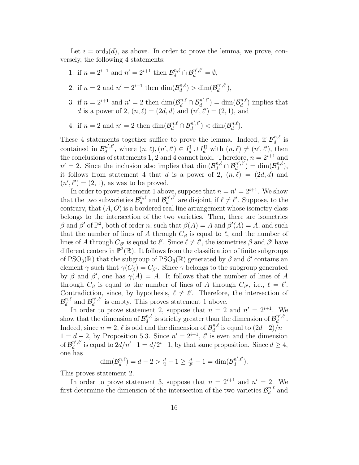Let  $i = \text{ord}_2(d)$ , as above. In order to prove the lemma, we prove, conversely, the following 4 statements:

- 1. if  $n = 2^{i+1}$  and  $n' = 2^{i+1}$  then  $\mathcal{B}_d^{n,\ell} \cap \mathcal{B}_d^{n',\ell'} = \emptyset$ ,
- 2. if  $n = 2$  and  $n' = 2^{i+1}$  then  $\dim(\mathcal{B}_d^{n,\ell})$  $\binom{n,\ell}{d}$  > dim $(\mathcal{B}_d^{n',\ell'})$  $_{d}^{n\, ,\ell}$ ),
- 3. if  $n = 2^{i+1}$  and  $n' = 2$  then  $\dim(\mathcal{B}_d^{n,\ell} \cap \mathcal{B}_d^{n',\ell'})$  $\binom{d^{n',\ell'}}{d} = \dim(\mathcal{B}_d^{n,\ell})$  $\binom{n,\ell}{d}$  implies that d is a power of 2,  $(n, \ell) = (2d, d)$  and  $(n', \ell') = (2, 1)$ , and
- 4. if  $n = 2$  and  $n' = 2$  then  $\dim(\mathcal{B}_{d}^{n,\ell} \cap \mathcal{B}_{d}^{n',\ell'}$  $\binom{n',\ell'}{d} < \dim(\mathcal{B}_d^{n,\ell})$  $\binom{n,\ell}{d}$ .

These 4 statements together suffice to prove the lemma. Indeed, if  $\mathcal{B}_d^{n,\ell}$  $\frac{n,\ell}{d}$  is contained in  $\mathcal{B}_d^{n',\ell'}$  $d^{n',\ell'}_{d}$ , where  $(n,\ell), (n',\ell') \in I_d^{\mathcal{I}} \cup I_d^{\mathcal{II}}$  with  $(n,\ell) \neq (n',\ell')$ , then the conclusions of statements 1, 2 and 4 cannot hold. Therefore,  $n = 2^{i+1}$  and  $n' = 2$ . Since the inclusion also implies that  $\dim(\mathcal{B}_{d}^{n,\ell} \cap \mathcal{B}_{d}^{n',\ell'})$  $\binom{n',\ell'}{d} = \dim(\mathcal{B}_d^{n,\ell})$  $\binom{n,\ell}{d},$ it follows from statement 4 that d is a power of 2,  $(n, \ell) = (2d, d)$  and  $(n', \ell') = (2, 1)$ , as was to be proved.

In order to prove statement 1 above, suppose that  $n = n' = 2^{i+1}$ . We show that the two subvarieties  $\mathcal{B}_d^{n,\ell}$  $\mathcal{B}_d^{n,\ell}$  and  $\mathcal{B}_d^{n',\ell'}$  $\mathbf{a}'_{d}$ <sup>n', $\mathbf{e}'$ </sup> are disjoint, if  $\ell \neq \ell'$ . Suppose, to the contrary, that  $(A, O)$  is a bordered real line arrangement whose isometry class belongs to the intersection of the two varieties. Then, there are isometries β and β' of  $\mathbb{P}^2$ , both of order n, such that  $\beta(A) = A$  and  $\beta'(A) = A$ , and such that the number of lines of A through  $C_\beta$  is equal to  $\ell$ , and the number of lines of A through  $C_{\beta'}$  is equal to  $\ell'$ . Since  $\ell \neq \ell'$ , the isometries  $\beta$  and  $\beta'$  have different centers in  $\mathbb{P}^2(\mathbb{R})$ . It follows from the classification of finite subgroups of  $PSO_3(\mathbb{R})$  that the subgroup of  $PSO_3(\mathbb{R})$  generated by  $\beta$  and  $\beta'$  contains an element  $\gamma$  such that  $\gamma(C_\beta) = C_{\beta'}$ . Since  $\gamma$  belongs to the subgroup generated by  $\beta$  and  $\beta'$ , one has  $\gamma(A) = A$ . It follows that the number of lines of A through  $C_{\beta}$  is equal to the number of lines of A through  $C_{\beta'}$ , i.e.,  $\ell = \ell'$ . Contradiction, since, by hypothesis,  $\ell \neq \ell'$ . Therefore, the intersection of  $\mathcal{B}_d^{n,\ell}$  $\mathcal{B}_d^{n,\ell}$  and  $\mathcal{B}_d^{n',\ell'}$  $\frac{d}{d}$  is empty. This proves statement 1 above.

In order to prove statement 2, suppose that  $n = 2$  and  $n' = 2^{i+1}$ . We show that the dimension of  $\mathcal{B}_d^{n,\ell}$  $\mathcal{B}_d^{n,\ell}$  is strictly greater than the dimension of  $\mathcal{B}_d^{n',\ell'}$  $\frac{n}{d}$ . Indeed, since  $n = 2$ ,  $\ell$  is odd and the dimension of  $\mathcal{B}_d^{n,\ell}$  $\frac{n,\ell}{d}$  is equal to  $\left(\frac{2d-2}{n-\ell}\right)$  $1 = d - 2$ , by Proposition 5.3. Since  $n' = 2^{i+1}$ ,  $\ell'$  is even and the dimension of  $\mathcal{B}_{d}^{n',\ell'}$  $\frac{d}{d}^{n',\ell'}$  is equal to  $2d/n'-1 = d/2^i-1$ , by that same proposition. Since  $d \geq 4$ , one has

$$
\dim(\mathcal{B}_{d}^{n,\ell}) = d - 2 > \frac{d}{2} - 1 \ge \frac{d}{2^{i}} - 1 = \dim(\mathcal{B}_{d}^{n',\ell'}).
$$

This proves statement 2.

In order to prove statement 3, suppose that  $n = 2^{i+1}$  and  $n' = 2$ . We first determine the dimension of the intersection of the two varieties  $\mathcal{B}_d^{n,\ell}$  $\frac{n,\ell}{d}$  and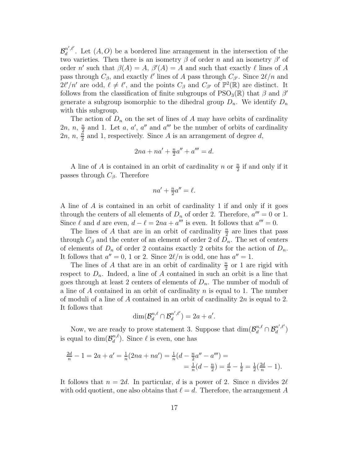$\mathcal{B}_d^{n',\ell'}$  $\mathbb{R}^{n,\ell}$ . Let  $(A, O)$  be a bordered line arrangement in the intersection of the two varieties. Then there is an isometry  $\beta$  of order n and an isometry  $\beta'$  of order n' such that  $\beta(A) = A$ ,  $\beta'(A) = A$  and such that exactly  $\ell$  lines of A pass through  $C_{\beta}$ , and exactly  $\ell'$  lines of A pass through  $C_{\beta'}$ . Since  $2\ell/n$  and  $2\ell'/n'$  are odd,  $\ell \neq \ell'$ , and the points  $C_\beta$  and  $C_{\beta'}$  of  $\mathbb{P}^2(\mathbb{R})$  are distinct. It follows from the classification of finite subgroups of  $PSO_3(\mathbb{R})$  that  $\beta$  and  $\beta'$ generate a subgroup isomorphic to the dihedral group  $D_n$ . We identify  $D_n$ with this subgroup.

The action of  $D_n$  on the set of lines of A may have orbits of cardinality  $2n, n, \frac{n}{2}$  $\frac{n}{2}$  and 1. Let a, a', a'' and a''' be the number of orbits of cardinality  $2n, n, \frac{\bar{n}}{2}$  $\frac{n}{2}$  and 1, respectively. Since A is an arrangement of degree d,

$$
2na + na' + \frac{n}{2}a'' + a''' = d.
$$

A line of A is contained in an orbit of cardinality n or  $\frac{n}{2}$  if and only if it passes through  $C_{\beta}$ . Therefore

$$
na' + \frac{n}{2}a'' = \ell.
$$

A line of A is contained in an orbit of cardinality 1 if and only if it goes through the centers of all elements of  $D_n$  of order 2. Therefore,  $a''' = 0$  or 1. Since  $\ell$  and d are even,  $d - \ell = 2na + a^{\prime\prime\prime}$  is even. It follows that  $a^{\prime\prime\prime} = 0$ .

The lines of A that are in an orbit of cardinality  $\frac{n}{2}$  $\frac{n}{2}$  are lines that pass through  $C_\beta$  and the center of an element of order 2 of  $D_n$ . The set of centers of elements of  $D_n$  of order 2 contains exactly 2 orbits for the action of  $D_n$ . It follows that  $a'' = 0$ , 1 or 2. Since  $2\ell/n$  is odd, one has  $a'' = 1$ .

The lines of A that are in an orbit of cardinality  $\frac{n}{2}$  $\frac{n}{2}$  or 1 are rigid with respect to  $D_n$ . Indeed, a line of A contained in such an orbit is a line that goes through at least 2 centers of elements of  $D_n$ . The number of moduli of a line of  $A$  contained in an orbit of cardinality  $n$  is equal to 1. The number of moduli of a line of A contained in an orbit of cardinality 2n is equal to 2. It follows that

$$
\dim(\mathcal{B}_{d}^{n,\ell}\cap\mathcal{B}_{d}^{n',\ell'})=2a+a'.
$$

Now, we are ready to prove statement 3. Suppose that  $\dim(\mathcal{B}_{d}^{n,\ell} \cap \mathcal{B}_{d}^{n',\ell'})$  $\binom{n}{d}$ is equal to  $\dim(\mathcal{B}_d^{n,\ell})$  $\binom{n,\ell}{d}$ . Since  $\ell$  is even, one has

$$
\frac{2d}{n} - 1 = 2a + a' = \frac{1}{n}(2na + na') = \frac{1}{n}(d - \frac{n}{2}a'' - a''') =
$$
  
= 
$$
\frac{1}{n}(d - \frac{n}{2}) = \frac{d}{n} - \frac{1}{2} = \frac{1}{2}(\frac{2d}{n} - 1).
$$

It follows that  $n = 2d$ . In particular, d is a power of 2. Since n divides  $2\ell$ with odd quotient, one also obtains that  $\ell = d$ . Therefore, the arrangement A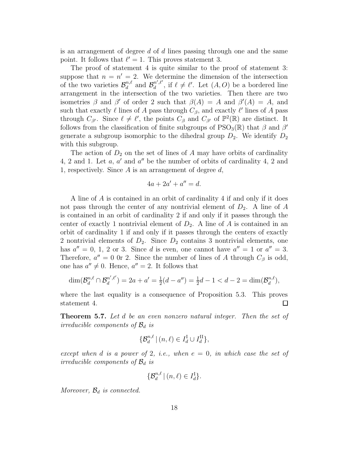is an arrangement of degree  $d$  of  $d$  lines passing through one and the same point. It follows that  $\ell' = 1$ . This proves statement 3.

The proof of statement 4 is quite similar to the proof of statement 3: suppose that  $n = n' = 2$ . We determine the dimension of the intersection of the two varieties  $\mathcal{B}_d^{n,\ell}$  $\mathcal{B}_d^{n,\ell}$  and  $\mathcal{B}_d^{n',\ell'}$  $\int_a^{n',\ell'}$ , if  $\ell \neq \ell'$ . Let  $(A, O)$  be a bordered line arrangement in the intersection of the two varieties. Then there are two isometries  $\beta$  and  $\beta'$  of order 2 such that  $\beta(A) = A$  and  $\beta'(A) = A$ , and such that exactly  $\ell$  lines of A pass through  $C_{\beta}$ , and exactly  $\ell'$  lines of A pass through  $C_{\beta'}$ . Since  $\ell \neq \ell'$ , the points  $C_{\beta}$  and  $C_{\beta'}$  of  $\mathbb{P}^2(\mathbb{R})$  are distinct. It follows from the classification of finite subgroups of  $PSO_3(\mathbb{R})$  that  $\beta$  and  $\beta'$ generate a subgroup isomorphic to the dihedral group  $D_2$ . We identify  $D_2$ with this subgroup.

The action of  $D_2$  on the set of lines of A may have orbits of cardinality 4, 2 and 1. Let  $a, a'$  and  $a''$  be the number of orbits of cardinality 4, 2 and 1, respectively. Since  $A$  is an arrangement of degree  $d$ ,

$$
4a + 2a' + a'' = d.
$$

A line of A is contained in an orbit of cardinality 4 if and only if it does not pass through the center of any nontrivial element of  $D_2$ . A line of A is contained in an orbit of cardinality 2 if and only if it passes through the center of exactly 1 nontrivial element of  $D_2$ . A line of A is contained in an orbit of cardinality 1 if and only if it passes through the centers of exactly 2 nontrivial elements of  $D_2$ . Since  $D_2$  contains 3 nontrivial elements, one has  $a'' = 0$ , 1, 2 or 3. Since d is even, one cannot have  $a'' = 1$  or  $a'' = 3$ . Therefore,  $a'' = 0$  0r 2. Since the number of lines of A through  $C_\beta$  is odd, one has  $a'' \neq 0$ . Hence,  $a'' = 2$ . It follows that

$$
\dim(\mathcal{B}_{d}^{n,\ell} \cap \mathcal{B}_{d}^{n',\ell'}) = 2a + a' = \frac{1}{2}(d - a'') = \frac{1}{2}d - 1 < d - 2 = \dim(\mathcal{B}_{d}^{n,\ell}),
$$

where the last equality is a consequence of Proposition 5.3. This proves statement 4.  $\Box$ 

**Theorem 5.7.** Let d be an even nonzero natural integer. Then the set of irreducible components of  $\mathcal{B}_d$  is

$$
\{\mathcal{B}_d^{n,\ell} \mid (n,\ell) \in I_d^{\mathcal{I}} \cup I_d^{\mathcal{II}}\},\
$$

except when d is a power of 2, i.e., when  $e = 0$ , in which case the set of irreducible components of  $\mathcal{B}_d$  is

$$
\{\mathcal{B}_d^{n,\ell} \mid (n,\ell) \in I_d^{\mathrm{I}}\}.
$$

Moreover,  $\mathcal{B}_d$  is connected.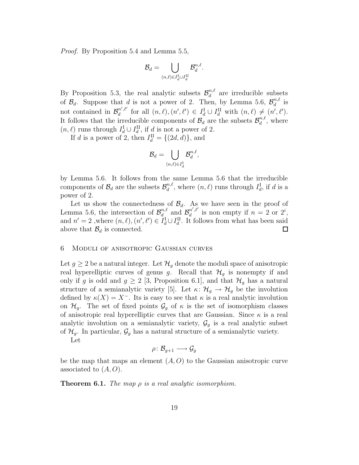Proof. By Proposition 5.4 and Lemma 5.5,

$$
\mathcal{B}_d = \bigcup_{(n,\ell) \in I_d^{\text{I}} \cup I_d^{\text{II}}} \mathcal{B}_d^{n,\ell}.
$$

By Proposition 5.3, the real analytic subsets  $\mathcal{B}_d^{n,\ell}$  $\frac{n,\ell}{d}$  are irreducible subsets of  $\mathcal{B}_d$ . Suppose that d is not a power of 2. Then, by Lemma 5.6,  $\mathcal{B}_d^{n,\ell}$  $\frac{n,\ell}{d}$  is not contained in  $\mathcal{B}_d^{n',\ell'}$  $\mathcal{U}_d^{n',\ell'}$  for all  $(n,\ell), (n',\ell') \in I_d^{\mathrm{I}} \cup I_d^{\mathrm{II}}$  with  $(n,\ell) \neq (n',\ell').$ It follows that the irreducible components of  $\mathcal{B}_d$  are the subsets  $\mathcal{B}_d^{n,\ell}$  $a^{n,\ell}$ , where  $(n, \ell)$  runs through  $I_d^{\text{I}} \cup I_d^{\text{II}}$ , if d is not a power of 2.

If d is a power of 2, then  $I_d^{\text{II}} = \{(2d, d)\}\text{, and}$ 

$$
\mathcal{B}_d = \bigcup_{(n,\ell) \in I_d^{\mathrm{I}}} \mathcal{B}_d^{n,\ell},
$$

by Lemma 5.6. It follows from the same Lemma 5.6 that the irreducible components of  $\mathcal{B}_d$  are the subsets  $\mathcal{B}_d^{n,\ell}$  $d_d^{n,\ell}$ , where  $(n,\ell)$  runs through  $I_d^{\mathbf{I}}$ , if d is a power of 2.

Let us show the connectedness of  $\mathcal{B}_d$ . As we have seen in the proof of  $\mathcal{B}_d^{n,\ell}$  and  $\mathcal{B}_d^{n',\ell'}$ Lemma 5.6, the intersection of  $\mathcal{B}_{d_{\text{r}}}^{n,\ell}$  $\int_{d}^{n',\ell'}$  is non empty if  $n = 2$  or  $2^i$ , and  $n' = 2$ , where  $(n, \ell), (n', \ell') \in I_d^I \cup I_d^{\text{II}}$ . It follows from what has been said above that  $\mathcal{B}_d$  is connected.  $\Box$ 

## 6 Moduli of anisotropic Gaussian curves

Let  $g \geq 2$  be a natural integer. Let  $\mathcal{H}_q$  denote the moduli space of anisotropic real hyperelliptic curves of genus g. Recall that  $\mathcal{H}_q$  is nonempty if and only if g is odd and  $g \geq 2$  [3, Proposition 6.1], and that  $\mathcal{H}_g$  has a natural structure of a semianalytic variety [5]. Let  $\kappa: \mathcal{H}_g \to \mathcal{H}_g$  be the involution defined by  $\kappa(X) = X^-$ . Its is easy to see that  $\kappa$  is a real analytic involution on  $\mathcal{H}_g$ . The set of fixed points  $\mathcal{G}_g$  of  $\kappa$  is the set of isomorphism classes of anisotropic real hyperelliptic curves that are Gaussian. Since  $\kappa$  is a real analytic involution on a semianalytic variety,  $\mathcal{G}_g$  is a real analytic subset of  $\mathcal{H}_g$ . In particular,  $\mathcal{G}_g$  has a natural structure of a semianalytic variety. Let

$$
\rho\colon \mathcal{B}_{g+1}\longrightarrow \mathcal{G}_g
$$

be the map that maps an element  $(A, O)$  to the Gaussian anisotropic curve associated to  $(A, O)$ .

**Theorem 6.1.** The map  $\rho$  is a real analytic isomorphism.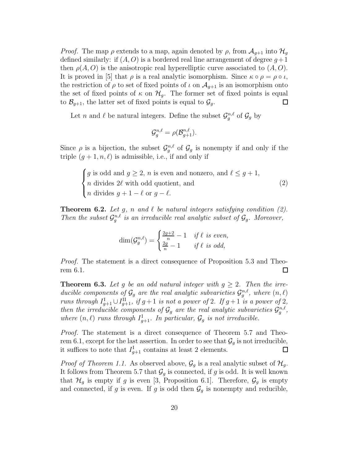*Proof.* The map  $\rho$  extends to a map, again denoted by  $\rho$ , from  $\mathcal{A}_{q+1}$  into  $\mathcal{H}_q$ defined similarly: if  $(A, O)$  is a bordered real line arrangement of degree  $q+1$ then  $\rho(A, O)$  is the anisotropic real hyperelliptic curve associated to  $(A, O)$ . It is proved in [5] that  $\rho$  is a real analytic isomorphism. Since  $\kappa \circ \rho = \rho \circ \iota$ , the restriction of  $\rho$  to set of fixed points of  $\iota$  on  $\mathcal{A}_{g+1}$  is an isomorphism onto the set of fixed points of  $\kappa$  on  $\mathcal{H}_g$ . The former set of fixed points is equal to  $\mathcal{B}_{g+1}$ , the latter set of fixed points is equal to  $\mathcal{G}_g$ . to  $\mathcal{B}_{q+1}$ , the latter set of fixed points is equal to  $\mathcal{G}_q$ .

Let *n* and  $\ell$  be natural integers. Define the subset  $\mathcal{G}_g^{n,\ell}$  of  $\mathcal{G}_g$  by

$$
\mathcal{G}_g^{n,\ell} = \rho(\mathcal{B}_{g+1}^{n,\ell}).
$$

Since  $\rho$  is a bijection, the subset  $\mathcal{G}_g^{n,\ell}$  of  $\mathcal{G}_g$  is nonempty if and only if the triple  $(g + 1, n, \ell)$  is admissible, i.e., if and only if

$$
\begin{cases} g \text{ is odd and } g \ge 2, n \text{ is even and nonzero, and } \ell \le g+1, \\ n \text{ divides } 2\ell \text{ with odd quotient, and} \\ n \text{ divides } g+1-\ell \text{ or } g-\ell. \end{cases} \tag{2}
$$

**Theorem 6.2.** Let g, n and  $\ell$  be natural integers satisfying condition (2). Then the subset  $\mathcal{G}_g^{n,\ell}$  is an irreducible real analytic subset of  $\mathcal{G}_g$ . Moreover,

$$
\dim(\mathcal{G}_g^{n,\ell}) = \begin{cases} \frac{2g+2}{n} - 1 & \text{if } \ell \text{ is even,} \\ \frac{2g}{n} - 1 & \text{if } \ell \text{ is odd,} \end{cases}
$$

Proof. The statement is a direct consequence of Proposition 5.3 and Theorem 6.1.  $\Box$ 

**Theorem 6.3.** Let g be an odd natural integer with  $g \geq 2$ . Then the irreducible components of  $\mathcal{G}_g$  are the real analytic subvarieties  $\mathcal{G}_g^{n,\ell}$ , where  $(n,\ell)$ runs through  $I_{g+1}^{\text{I}} \cup I_{g+1}^{\text{II}}$ , if  $g+1$  is not a power of 2. If  $g+1$  is a power of 2, then the irreducible components of  $\mathcal{G}_g$  are the real analytic subvarieties  $\mathcal{G}_g^{n,\ell}$ , where  $(n, \ell)$  runs through  $I_{g+1}^{\text{I}}$ . In particular,  $\mathcal{G}_g$  is not irreducible.

Proof. The statement is a direct consequence of Theorem 5.7 and Theorem 6.1, except for the last assertion. In order to see that  $\mathcal{G}_q$  is not irreducible, it suffices to note that  $I_{g+1}^{\text{I}}$  contains at least 2 elements.  $\Box$ 

*Proof of Theorem 1.1.* As observed above,  $\mathcal{G}_g$  is a real analytic subset of  $\mathcal{H}_g$ . It follows from Theorem 5.7 that  $\mathcal{G}_q$  is connected, if g is odd. It is well known that  $\mathcal{H}_g$  is empty if g is even [3, Proposition 6.1]. Therefore,  $\mathcal{G}_g$  is empty and connected, if g is even. If g is odd then  $\mathcal{G}_g$  is nonempty and reducible,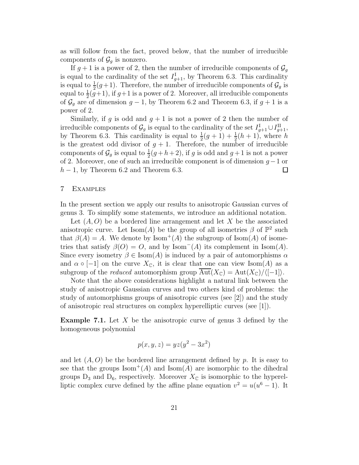as will follow from the fact, proved below, that the number of irreducible components of  $\mathcal{G}_q$  is nonzero.

If  $g+1$  is a power of 2, then the number of irreducible components of  $\mathcal{G}_q$ is equal to the cardinality of the set  $I_{g+1}^{\text{I}}$ , by Theorem 6.3. This cardinality is equal to  $\frac{1}{2}(g+1)$ . Therefore, the number of irreducible components of  $\mathcal{G}_g$  is equal to  $\frac{1}{2}(g+1)$ , if  $g+1$  is a power of 2. Moreover, all irreducible components of  $\mathcal{G}_g$  are of dimension  $g-1$ , by Theorem 6.2 and Theorem 6.3, if  $g+1$  is a power of 2.

Similarly, if g is odd and  $g + 1$  is not a power of 2 then the number of irreducible components of  $\mathcal{G}_g$  is equal to the cardinality of the set  $I_{g+1}^{\text{I}} \cup I_{g+1}^{\text{II}},$ by Theorem 6.3. This cardinality is equal to  $\frac{1}{2}(g+1) + \frac{1}{2}$  $\frac{1}{2}(h+1)$ , where h is the greatest odd divisor of  $g + 1$ . Therefore, the number of irreducible components of  $\mathcal{G}_g$  is equal to  $\frac{1}{2}(g+h+2)$ , if g is odd and  $g+1$  is not a power of 2. Moreover, one of such an irreducible component is of dimension  $g-1$  or  $h-1$ , by Theorem 6.2 and Theorem 6.3.  $h-1$ , by Theorem 6.2 and Theorem 6.3.

## 7 Examples

In the present section we apply our results to anisotropic Gaussian curves of genus 3. To simplify some statements, we introduce an additional notation.

Let  $(A, O)$  be a bordered line arrangement and let X be the associated anisotropic curve. Let  $\text{Isom}(A)$  be the group of all isometries  $\beta$  of  $\mathbb{P}^2$  such that  $\beta(A) = A$ . We denote by Isom<sup>+</sup>(A) the subgroup of Isom(A) of isometries that satisfy  $\beta(O) = O$ , and by Isom<sup>-</sup>(A) its complement in Isom(A). Since every isometry  $\beta \in \text{Isom}(A)$  is induced by a pair of automorphisms  $\alpha$ and  $\alpha \circ [-1]$  on the curve  $X_{\mathbb{C}}$ , it is clear that one can view Isom(A) as a subgroup of the *reduced* automorphism group  $\overline{\mathrm{Aut}}(X_{\mathbb{C}}) = \mathrm{Aut}(X_{\mathbb{C}})/\langle[-1]\rangle$ .

Note that the above considerations highlight a natural link between the study of anisotropic Gaussian curves and two others kind of problems: the study of automorphisms groups of anisotropic curves (see [2]) and the study of anisotropic real structures on complex hyperelliptic curves (see [1]).

**Example 7.1.** Let X be the anisotropic curve of genus 3 defined by the homogeneous polynomial

$$
p(x, y, z) = yz(y^2 - 3x^2)
$$

and let  $(A, O)$  be the bordered line arrangement defined by p. It is easy to see that the groups  $\text{Isom}^+(A)$  and  $\text{Isom}(A)$  are isomorphic to the dihedral groups  $D_3$  and  $D_6$ , respectively. Moreover  $X_{\mathbb{C}}$  is isomorphic to the hyperelliptic complex curve defined by the affine plane equation  $v^2 = u(u^6 - 1)$ . It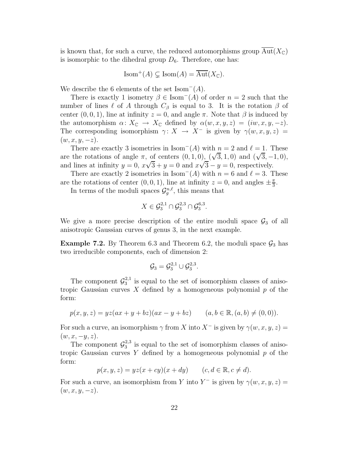is known that, for such a curve, the reduced automorphisms group  $Aut(X_{\mathbb{C}})$ is isomorphic to the dihedral group  $D_6$ . Therefore, one has:

$$
Isom^+(A) \subsetneq Isom(A) = \overline{\mathrm{Aut}}(X_{\mathbb{C}}).
$$

We describe the 6 elements of the set  $Isom^{-}(A)$ .

There is exactly 1 isometry  $\beta \in \text{Isom}^-(A)$  of order  $n = 2$  such that the number of lines  $\ell$  of A through  $C_\beta$  is equal to 3. It is the rotation  $\beta$  of center  $(0, 0, 1)$ , line at infinity  $z = 0$ , and angle  $\pi$ . Note that  $\beta$  is induced by the automorphism  $\alpha: X_{\mathbb{C}} \to X_{\mathbb{C}}$  defined by  $\alpha(w, x, y, z) = (iw, x, y, -z)$ . The corresponding isomorphism  $\gamma: X \to X^-$  is given by  $\gamma(w, x, y, z) =$  $(w, x, y, -z).$ 

There are exactly 3 isometries in Isom<sup> $-(A)$ </sup> with  $n = 2$  and  $\ell = 1$ . These are the rotations of angle  $\pi$ , of centers  $(0, 1, 0)$ ,  $(\sqrt{3}, 1, 0)$  and  $(\sqrt{3}, -1, 0)$ , and lines at infinity  $y = 0$ ,  $x\sqrt{3} + y = 0$  and  $x\sqrt{3} - y = 0$ , respectively.

There are exactly 2 isometries in Isom<sup>-</sup>(A) with  $n = 6$  and  $\ell = 3$ . These are the rotations of center  $(0, 0, 1)$ , line at infinity  $z = 0$ , and angles  $\pm \frac{\pi}{3}$  $\frac{\pi}{3}$ .

In terms of the moduli spaces  $\mathcal{G}_g^{n,\ell}$ , this means that

$$
X\in \mathcal{G}_3^{2,1}\cap \mathcal{G}_3^{2,3}\cap \mathcal{G}_3^{6,3}.
$$

We give a more precise description of the entire moduli space  $\mathcal{G}_3$  of all anisotropic Gaussian curves of genus 3, in the next example.

**Example 7.2.** By Theorem 6.3 and Theorem 6.2, the moduli space  $\mathcal{G}_3$  has two irreducible components, each of dimension 2:

$$
\mathcal{G}_3=\mathcal{G}_3^{2,1}\cup\mathcal{G}_3^{2,3}.
$$

The component  $\mathcal{G}_3^{2,1}$  $\frac{2}{3}$  is equal to the set of isomorphism classes of anisotropic Gaussian curves X defined by a homogeneous polynomial  $p$  of the form:

$$
p(x, y, z) = yz(ax + y + bz)(ax - y + bz) \qquad (a, b \in \mathbb{R}, (a, b) \neq (0, 0)).
$$

For such a curve, an isomorphism  $\gamma$  from X into X<sup>-</sup> is given by  $\gamma(w, x, y, z) =$  $(w, x, -y, z).$ 

The component  $\mathcal{G}_3^{2,3}$  $\frac{23}{3}$  is equal to the set of isomorphism classes of anisotropic Gaussian curves  $Y$  defined by a homogeneous polynomial  $p$  of the form:

$$
p(x, y, z) = yz(x + cy)(x + dy) \qquad (c, d \in \mathbb{R}, c \neq d).
$$

For such a curve, an isomorphism from Y into Y<sup>-</sup> is given by  $\gamma(w, x, y, z) =$  $(w, x, y, -z).$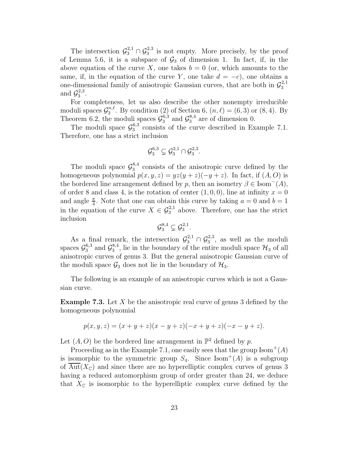The intersection  $\mathcal{G}_3^{2,1} \cap \mathcal{G}_3^{2,3}$  $\frac{2,3}{3}$  is not empty. More precisely, by the proof of Lemma 5.6, it is a subspace of  $\mathcal{G}_3$  of dimension 1. In fact, if, in the above equation of the curve X, one takes  $b = 0$  (or, which amounts to the same, if, in the equation of the curve Y, one take  $d = -c$ , one obtains a one-dimensional family of anisotropic Gaussian curves, that are both in  $\mathcal{G}_3^{2,1}$ 3 and  $\mathcal{G}_3^{2,3}$  $\frac{2,3}{3}$ .

For completeness, let us also describe the other nonempty irreducible moduli spaces  $\mathcal{G}_3^{n,\ell}$ <sup>n,e</sup>. By condition (2) of Section 6,  $(n, \ell) = (6, 3)$  or  $(8, 4)$ . By Theorem 6.2, the moduli spaces  $\mathcal{G}_3^{6,3}$  and  $\mathcal{G}_3^{8,4}$  are of dimension 0.

The moduli space  $\mathcal{G}_3^{6,3}$  $_{3}^{6,3}$  consists of the curve described in Example 7.1. Therefore, one has a strict inclusion

$$
\mathcal{G}_3^{6,3} \subsetneq \mathcal{G}_3^{2,1} \cap \mathcal{G}_3^{2,3}.
$$

The moduli space  $\mathcal{G}_3^{8,4}$  $3^{8,4}_{3}$  consists of the anisotropic curve defined by the homogeneous polynomial  $p(x, y, z) = yz(y + z)(-y + z)$ . In fact, if  $(A, O)$  is the bordered line arrangement defined by p, then an isometry  $\beta \in \text{Isom}^-(A)$ , of order 8 and class 4, is the rotation of center  $(1, 0, 0)$ , line at infinity  $x = 0$ and angle  $\frac{\pi}{4}$ . Note that one can obtain this curve by taking  $a = 0$  and  $b = 1$ in the equation of the curve  $X \in \mathcal{G}_3^{2,1}$  above. Therefore, one has the strict inclusion

$$
\mathcal{G}_3^{8,4} \subsetneq \mathcal{G}_3^{2,1}.
$$

As a final remark, the intersection  $\mathcal{G}_3^{2,1} \cap \mathcal{G}_3^{2,3}$  $_3^{2,3}$ , as well as the moduli spaces  $\mathcal{G}_3^{6,3}$  $3^{6,3}$  and  $\mathcal{G}_3^{8,4}$  $3^{\text{8,4}}$ , lie in the boundary of the entire moduli space  $\mathcal{H}_3$  of all anisotropic curves of genus 3. But the general anisotropic Gaussian curve of the moduli space  $\mathcal{G}_3$  does not lie in the boundary of  $\mathcal{H}_3$ .

The following is an example of an anisotropic curves which is not a Gaussian curve.

**Example 7.3.** Let X be the anisotropic real curve of genus 3 defined by the homogeneous polynomial

$$
p(x, y, z) = (x + y + z)(x - y + z)(-x + y + z)(-x - y + z).
$$

Let  $(A, O)$  be the bordered line arrangement in  $\mathbb{P}^2$  defined by p.

Proceeding as in the Example 7.1, one easily sees that the group  $\text{Isom}^+(A)$ is isomorphic to the symmetric group  $S_4$ . Since Isom<sup>+</sup>(A) is a subgroup of  $Aut(X_{\mathbb{C}})$  and since there are no hyperelliptic complex curves of genus 3 having a reduced automorphism group of order greater than 24, we deduce that  $X_{\mathbb{C}}$  is isomorphic to the hyperelliptic complex curve defined by the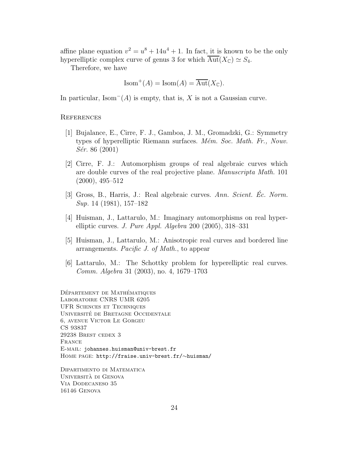affine plane equation  $v^2 = u^8 + 14u^4 + 1$ . In fact, it is known to be the only hyperelliptic complex curve of genus 3 for which  $\overline{\mathrm{Aut}}(X_{\mathbb{C}}) \simeq S_4$ .

Therefore, we have

$$
Isom^+(A) = Isom(A) = \overline{\mathrm{Aut}}(X_{\mathbb{C}}).
$$

In particular, Isom<sup> $-(A)$ </sup> is empty, that is, X is not a Gaussian curve.

# **REFERENCES**

- [1] Bujalance, E., Cirre, F. J., Gamboa, J. M., Gromadzki, G.: Symmetry types of hyperelliptic Riemann surfaces. Mém. Soc. Math. Fr., Nouv. Sér. 86 (2001)
- [2] Cirre, F. J.: Automorphism groups of real algebraic curves which are double curves of the real projective plane. Manuscripta Math. 101 (2000), 495–512
- [3] Gross, B., Harris, J.: Real algebraic curves. Ann. Scient.  $\dot{E}c$ . Norm. Sup. 14 (1981), 157–182
- [4] Huisman, J., Lattarulo, M.: Imaginary automorphisms on real hyperelliptic curves. J. Pure Appl. Algebra 200 (2005), 318–331
- [5] Huisman, J., Lattarulo, M.: Anisotropic real curves and bordered line arrangements. Pacific J. of Math., to appear
- [6] Lattarulo, M.: The Schottky problem for hyperelliptic real curves. Comm. Algebra 31 (2003), no. 4, 1679–1703

DÉPARTEMENT DE MATHÉMATIQUES Laboratoire CNRS UMR 6205 UFR Sciences et Techniques UNIVERSITÉ DE BRETAGNE OCCIDENTALE 6, avenue Victor Le Gorgeu CS 93837 29238 Brest cedex 3 FRANCE E-mail: johannes.huisman@univ-brest.fr Home page: http://fraise.univ-brest.fr/∼huisman/

Dipartimento di Matematica Universita` di Genova Via Dodecaneso 35 16146 Genova